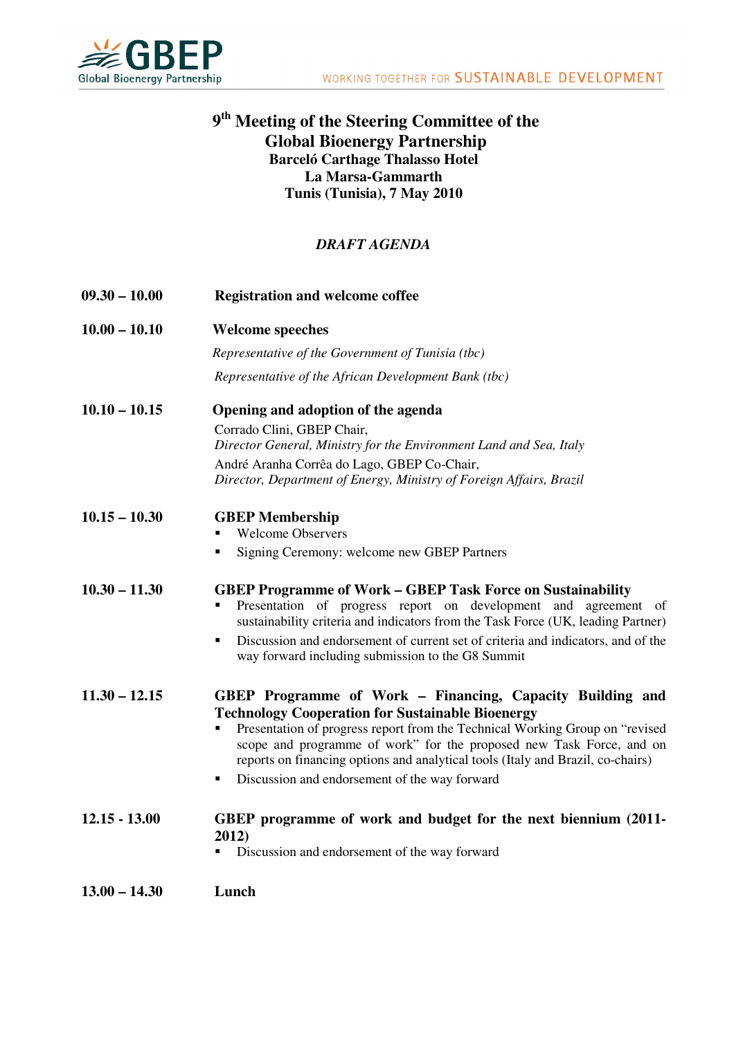

## **9 th Meeting of the Steering Committee of the Global Bioenergy Partnership Barceló Carthage Thalasso Hotel La Marsa-Gammarth Tunis (Tunisia), 7 May 2010**

## *DRAFT AGENDA*

| $09.30 - 10.00$ | <b>Registration and welcome coffee</b>                                                                                                                                                                                                                                                                                                                                                                                |
|-----------------|-----------------------------------------------------------------------------------------------------------------------------------------------------------------------------------------------------------------------------------------------------------------------------------------------------------------------------------------------------------------------------------------------------------------------|
| $10.00 - 10.10$ | <b>Welcome speeches</b>                                                                                                                                                                                                                                                                                                                                                                                               |
|                 | Representative of the Government of Tunisia (tbc)                                                                                                                                                                                                                                                                                                                                                                     |
|                 | Representative of the African Development Bank (tbc)                                                                                                                                                                                                                                                                                                                                                                  |
| $10.10 - 10.15$ | Opening and adoption of the agenda                                                                                                                                                                                                                                                                                                                                                                                    |
|                 | Corrado Clini, GBEP Chair,<br>Director General, Ministry for the Environment Land and Sea, Italy                                                                                                                                                                                                                                                                                                                      |
|                 | André Aranha Corrêa do Lago, GBEP Co-Chair,<br>Director, Department of Energy, Ministry of Foreign Affairs, Brazil                                                                                                                                                                                                                                                                                                    |
| $10.15 - 10.30$ | <b>GBEP</b> Membership<br><b>Welcome Observers</b>                                                                                                                                                                                                                                                                                                                                                                    |
|                 | Signing Ceremony: welcome new GBEP Partners<br>٠                                                                                                                                                                                                                                                                                                                                                                      |
| $10.30 - 11.30$ | <b>GBEP Programme of Work – GBEP Task Force on Sustainability</b><br>Presentation of progress report on development and agreement of<br>sustainability criteria and indicators from the Task Force (UK, leading Partner)<br>Discussion and endorsement of current set of criteria and indicators, and of the<br>٠                                                                                                     |
|                 | way forward including submission to the G8 Summit                                                                                                                                                                                                                                                                                                                                                                     |
| $11.30 - 12.15$ | GBEP Programme of Work - Financing, Capacity Building and<br><b>Technology Cooperation for Sustainable Bioenergy</b><br>Presentation of progress report from the Technical Working Group on "revised<br>scope and programme of work" for the proposed new Task Force, and on<br>reports on financing options and analytical tools (Italy and Brazil, co-chairs)<br>Discussion and endorsement of the way forward<br>٠ |
| $12.15 - 13.00$ | GBEP programme of work and budget for the next biennium (2011-<br>2012)<br>Discussion and endorsement of the way forward                                                                                                                                                                                                                                                                                              |
| $13.00 - 14.30$ | Lunch                                                                                                                                                                                                                                                                                                                                                                                                                 |